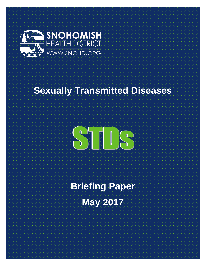

# **Sexually Transmitted Diseases**



**Briefing Paper May 2017**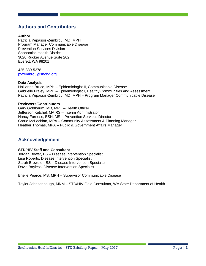## **Authors and Contributors**

#### **Author**

Patricia Yepassis-Zembrou, MD, MPH Program Manager Communicable Disease Prevention Services Division Snohomish Health District 3020 Rucker Avenue Suite 202 Everett, WA 98201

425-339-5278 [pyzembrou@snohd.org](mailto:pyzembrou@snohd.org)

#### **Data Analysis**

Hollianne Bruce, MPH – Epidemiologist II, Communicable Disease Gabrielle Fraley, MPH – Epidemiologist I, Healthy Communities and Assessment Patricia Yepassis-Zembrou, MD, MPH – Program Manager Communicable Disease

#### **Reviewers/Contributors**

Gary Goldbaum, MD, MPH – Health Officer Jefferson Ketchel, MA RS – Interim Administrator Nancy Furness, BSN, MS – Prevention Services Director Carrie McLachlan, MPA – Community Assessment & Planning Manager Heather Thomas, MPA – Public & Government Affairs Manager

## **Acknowledgement**

#### **STD/HIV Staff and Consultant**

Jordan Bower, BS – Disease Intervention Specialist Lisa Roberts, Disease Intervention Specialist Sarah Brewster, BS – Disease Intervention Specialist David Bayless, Disease Intervention Specialist

Brielle Pearce, MS, MPH – Supervisor Communicable Disease

Taylor Johnsonbaugh, MNM – STD/HIV Field Consultant, WA State Department of Health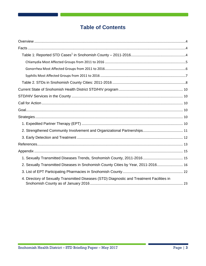# **Table of Contents**

| 2. Sexually Transmitted Diseases in Snohomish County Cities by Year, 2011-2016 16          |  |
|--------------------------------------------------------------------------------------------|--|
|                                                                                            |  |
| 4. Directory of Sexually Transmitted Diseases (STD) Diagnostic and Treatment Facilities in |  |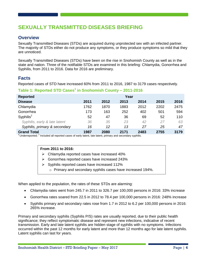## **SEXUALLY TRANSMITTED DISEASES BRIEFING**

## <span id="page-3-0"></span>**Overview**

Sexually Transmitted Diseases (STDs) are acquired during unprotected sex with an infected partner. The majority of STDs either do not produce any symptoms, or they produce symptoms so mild that they are unnoticed.

Sexually Transmitted Diseases (STDs) have been on the rise in Snohomish County as well as in the state and nation. Three of the notifiable STDs are examined in this briefing: Chlamydia, Gonorrhea and Syphilis, from 2011 to 2016. Data for 2016 are preliminary.

## <span id="page-3-1"></span>**Facts**

Reported cases of STD have increased 60% from 2011 to 2016, 1987 to 3179 cases respectively.

## <span id="page-3-2"></span>**Table 1: Reported STD Cases<sup>1</sup> in Snohomish County – 2011-2016**

| <b>Reported</b>               |      |      | Year |      |      |      |
|-------------------------------|------|------|------|------|------|------|
| <b>Disease</b>                | 2011 | 2012 | 2013 | 2014 | 2015 | 2016 |
| Chlamydia                     | 1762 | 1870 | 1883 | 2012 | 2202 | 2475 |
| Gonorrhea                     | 173  | 163  | 252  | 402  | 501  | 594  |
| $S$ yphilis <sup>2</sup>      | 52   | 47   | 36   | 69   | 52   | 110  |
| Syphilis, early & late latent | 36   | 35   | 23   | 42   | 27   | 63   |
| Syphilis, primary & secondary | 16   | 12   | 13   | 27   | 25   | 47   |
| <b>Grand Total</b>            | 1987 | 2080 | 2171 | 2483 | 2755 | 3179 |

<sup>1</sup> Underreported; <sup>2</sup> Included all reported cases of early latent, late latent, primary and secondary syphilis.

#### **From 2011 to 2016:**

- $\triangleright$  Chlamydia reported cases have increased 40%
- Gonorrhea reported cases have increased 243%
- $\triangleright$  Syphilis reported cases have increased 112%
	- o Primary and secondary syphilis cases have increased 194%.

When applied to the population, the rates of these STDs are alarming:

- Chlamydia rates went from 245.7 in 2011 to 326.7 per 100,000 persons in 2016: 33% increase
- Gonorrhea rates soared from 22.5 in 2012 to 78.4 per 100,000 persons in 2016: 248% increase
- Syphilis primary and secondary rates rose from 1.7 in 2012 to 6.2 per 100,000 persons in 2016: 265% increase.

Primary and secondary syphilis (Syphilis P/S) rates are usually reported, due to their public health significance; they reflect symptomatic disease and represent new infections, indicative of recent transmission. Early and late latent syphilis are hidden stage of syphilis with no symptoms. Infections occurred within the past 12 months for early latent and more than 12 months ago for late latent syphilis. Latent syphilis can last for years.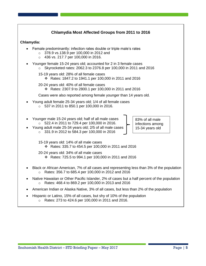| Chlamydia Most Affected Groups from 2011 to 2016                                                                                                                                                                                                                                             |  |  |  |  |  |  |
|----------------------------------------------------------------------------------------------------------------------------------------------------------------------------------------------------------------------------------------------------------------------------------------------|--|--|--|--|--|--|
| Chlamydia:                                                                                                                                                                                                                                                                                   |  |  |  |  |  |  |
| Female predominantly: infection rates double or triple male's rates<br>378.9 vs.138.9 per 100,000 in 2012 and<br>$\circ$<br>436 vs. 217.7 per 100,000 in 2016.<br>$\circ$                                                                                                                    |  |  |  |  |  |  |
| Younger female 15-24 years old; accounted for 2 in 3 female cases<br>Skyrocketed rates: 2062.3 to 2376.8 per 100,000 in 2011 and 2016<br>$\circ$                                                                                                                                             |  |  |  |  |  |  |
| 15-19 years old: 28% of all female cases<br>Extembar 2016 2014 November 18, 2014 And 2016                                                                                                                                                                                                    |  |  |  |  |  |  |
| 20-24 years old: 40% of all female cases<br>* Rates: 2307.9 to 2800.1 per 100,000 in 2011 and 2016                                                                                                                                                                                           |  |  |  |  |  |  |
| Cases were also reported among female younger than 14 years old.                                                                                                                                                                                                                             |  |  |  |  |  |  |
| Young adult female 25-34 years old; 1/4 of all female cases<br>$\circ$ 537 in 2011 to 850.1 per 100,000 in 2016.                                                                                                                                                                             |  |  |  |  |  |  |
| Younger male 15-24 years old; half of all male cases<br>83% of all male<br>522.4 in 2011 to 729.4 per 100,000 in 2016.<br>$\circ$<br>infections among<br>Young adult male 25-34 years old; 2/5 of all male cases<br>15-34 years old<br>331.9 in 2012 to 584.3 per 100,000 in 2016<br>$\circ$ |  |  |  |  |  |  |
| 15-19 years old: 14% of all male cases<br>❖ Rates: 335.7 to 454.5 per 100,000 in 2011 and 2016                                                                                                                                                                                               |  |  |  |  |  |  |
| 20-24 years old: 34% of all male cases<br>❖ Rates: 725.5 to 994.1 per 100,000 in 2011 and 2016                                                                                                                                                                                               |  |  |  |  |  |  |
| Black or African American, 7% of all cases and representing less than 3% of the population<br>Rates: 356.7 to 685.4 per 100,000 in 2012 and 2016<br>$\circ$                                                                                                                                  |  |  |  |  |  |  |
| Native Hawaiian or Other Pacific Islander, 2% of cases but a half percent of the population<br>Rates: 468.4 to 869.2 per 100,000 in 2013 and 2016<br>$\circ$                                                                                                                                 |  |  |  |  |  |  |
| American Indian or Alaska Native, 3% of all cases, but less than 2% of the population                                                                                                                                                                                                        |  |  |  |  |  |  |
| Hispanic or Latino, 15% of all cases, but shy of 10% of the population                                                                                                                                                                                                                       |  |  |  |  |  |  |

o Rates: 273 to 424.6 per 100,000 in 2011 and 2016.

**Contract** - 1 ÷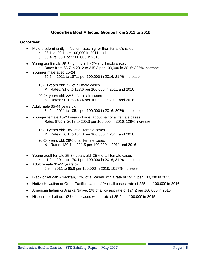## **Gonorrhea Most Affected Groups from 2011 to 2016**

#### **Gonorrhea:**

- Male predominantly: infection rates higher than female's rates.
	- o 28.1 vs.20.1 per 100,000 in 2011 and
	- o 96.4 vs. 60.1 per 100,000 in 2016.
- Young adult male 25-34 years old; 42% of all male cases  $\circ$  Rates from 63.7 in 2012 to 315.3 per 100,000 in 2016: 395% increase
- Younger male aged 15-24
	- o 59.6 in 2011 to 187.1 per 100,000 in 2016: 214% increase
	- 15-19 years old: 7% of all male cases Rates: 31.6 to 128.6 per 100,000 in 2011 and 2016
	- 20-24 years old: 22% of all male cases Rates: 90.1 to 243.4 per 100,000 in 2011 and 2016
- Adult male 35-44 years old
	- o 34.2 in 2011 to 105.1 per 100,000 in 2016: 207% increase
- Younger female 15-24 years of age, about half of all female cases o Rates 87.5 in 2012 to 200.3 per 100,000 in 2016: 129% increase
	- 15-19 years old: 18% of all female cases
		- Rates: 76.1 to 164.8 per 100,000 in 2011 and 2016
	- 20-24 years old: 29% of all female cases Rates: 130.1 to 221.5 per 100,000 in 2011 and 2016
- Young adult female 25-34 years old; 35% of all female cases o 41.2 in 2011 to 170.4 per 100,000 in 2016; 314% increase
- Adult female 35-44 years old;
	- $\circ$  5.9 in 2011 to 65.9 per 100,000 in 2016; 1017% increase
- Black or African American, 12% of all cases with a rate of 292.5 per 100,000 in 2015
- Native Hawaiian or Other Pacific Islander,1% of all cases; rate of 235 per 100,000 in 2016
- American Indian or Alaska Native, 2% of all cases; rate of 124.2 per 100,000 in 2016
- Hispanic or Latino; 10% of all cases with a rate of 85.9 per 100,000 in 2015.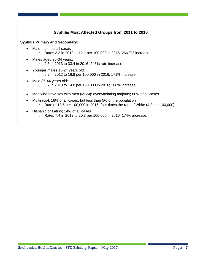

o Rates 7.4 in 2012 to 20.3 per 100,000 in 2016: 174% increase.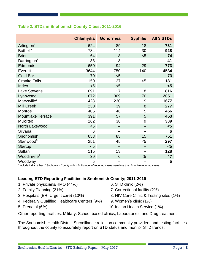## <span id="page-7-0"></span>**Table 2. STDs in Snohomish County Cities: 2011-2016**

|                          | <b>Chlamydia</b> | <b>Gonorrhea</b>         | <b>Syphilis</b> | <b>All 3 STDs</b> |
|--------------------------|------------------|--------------------------|-----------------|-------------------|
| Arlington <sup>3</sup>   | 624              | 89                       | 18              | 731               |
| Bothell <sup>4</sup>     | 784              | 114                      | 30              | 928               |
| <b>Brier</b>             | 64               | 8                        | < 5             | 74                |
| Darrington <sup>3</sup>  | 33               | 8                        | --              | 41                |
| Edmonds                  | 650              | 94                       | 29              | 773               |
| Everett                  | 3644             | 750                      | 140             | 4534              |
| <b>Gold Bar</b>          | 70               | $5$                      | --              | 73                |
| <b>Granite Falls</b>     | 150              | 27                       | $5$             | 181               |
| Index                    | < 5              | < 5                      | --              | $\leq 5$          |
| <b>Lake Stevens</b>      | 691              | 117                      | 8               | 816               |
| Lynnwood                 | 1672             | 309                      | 70              | 2051              |
| Marysville <sup>3</sup>  | 1428             | 230                      | 19              | 1677              |
| <b>Mill Creek</b>        | 230              | 39                       | 8               | 277               |
| Monroe                   | 405              | 46                       | 5               | 456               |
| <b>Mountlake Terrace</b> | 391              | 57                       | 5               | 453               |
| <b>Mukilteo</b>          | 262              | 38                       | 9               | 309               |
| North Lakewood           | < 5              | $-$                      | $-$             | $5$               |
| Silvana                  | 6                | $\overline{\phantom{m}}$ | --              | 6                 |
| Snohomish                | 653              | 83                       | 15              | 751               |
| Stanwood <sup>3</sup>    | 251              | 45                       | $5$             | 297               |
| <b>Startup</b>           | $5$              | $-$                      | --              | $5$               |
| Sultan                   | 115              | 13                       |                 | 128               |
| Woodinville <sup>4</sup> | 39               | 6                        | $5$             | 47                |
| Woodway                  | 5                | --                       | --              | 5                 |

 $3$  Include Indian tribes.  $4$  Snohomish County only. <5: Number of reported cases were less than 5. --: No reported cases.

## **Leading STD Reporting Facilities in Snohomish County; 2011-2016**

- 1. Private physicians/HMO (44%) 6. STD clinic (2%)
- 
- 
- 4. Federally Qualified Healthcare Centers (9%) 9. Women's clinic (1%)
- 
- 
- 2. Family Planning (21%) 7. Correctional facility (2%)
- 3. Hospitals (ER, Urgent care) (13%) 8. HIV Care Clinic & Testing sites (1%)
	-
- 5. Prenatal (6%) 10.Indian Health Service (1%)

Other reporting facilities: Military, School-based clinics, Laboratories, and Drug treatment.

The Snohomish Health District Surveillance relies on community providers and testing facilities throughout the county to accurately report on STD status and monitor STD trends.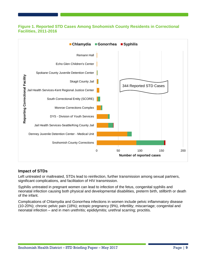### **Figure 1. Reported STD Cases Among Snohomish County Residents in Correctional Facilities, 2011-2016**



#### **Impact of STDs**

Left untreated or maltreated, STDs lead to reinfection, further transmission among sexual partners, significant complications, and facilitation of HIV transmission.

Syphilis untreated in pregnant women can lead to infection of the fetus, congenital syphilis and neonatal infection causing both physical and developmental disabilities, preterm birth, stillbirth or death of the infant.

Complications of Chlamydia and Gonorrhea infections in women include pelvic inflammatory disease (10-20%); chronic pelvic pain (18%); ectopic pregnancy (9%), infertility; miscarriage; congenital and neonatal infection – and in men urethritis; epididymitis; urethral scarring; proctitis.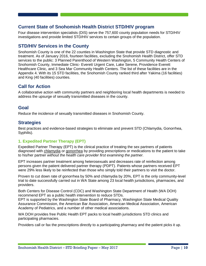## <span id="page-9-0"></span>**Current State of Snohomish Health District STD/HIV program**

Four disease intervention specialists (DIS) serve the 757,600 county population needs for STD/HIV investigations and provide limited STD/HIV services to certain groups of the population.

## <span id="page-9-1"></span>**STD/HIV Services in the County**

Snohomish County is one of the 22 counties in Washington State that provide STD diagnostic and treatment. As of January 2016, fourteen facilities, excluding the Snohomish Health District, offer STD services to the public: 3 Planned Parenthood of Western Washington, 5 Community Health Centers of Snohomish County, Immediate Clinic- Everett Urgent Care, Lake Serene, Providence Everett Healthcare Clinic, and 3 Sea Mar Community Health Centers. The list of these facilities are in the Appendix 4. With its 15 STD facilities, the Snohomish County ranked third after Yakima (16 facilities) and King (40 facilities) counties.

## <span id="page-9-2"></span>**Call for Action**

A collaborative action with community partners and neighboring local health departments is needed to address the upsurge of sexually transmitted diseases in the county.

## <span id="page-9-3"></span>**Goal**

Reduce the incidence of sexually transmitted diseases in Snohomish County.

## <span id="page-9-4"></span>**Strategies**

Best practices and evidence-based strategies to eliminate and prevent STD (Chlamydia, Gonorrhea, Syphilis).

#### <span id="page-9-5"></span>**1. Expedited Partner Therapy (EPT)**

Expedited Partner Therapy (EPT) is the clinical practice of treating the sex partners of patients diagnosed with chlamydia or gonorrhea by providing prescriptions or medications to the patient to take to his/her partner *without the health care provider first examining the partner.*

EPT increases partner treatment among heterosexuals and decreases rate of reinfection among persons given the patient delivered partner therapy (PDPT). Patients whose partners received EPT were 29% less likely to be reinfected than those who simply told their partners to visit the doctor.

Proven to cut down rate of gonorrhea by 50% and chlamydia by 20%, EPT is the only community-level trial to date successfully carried out in WA State among 23 local health jurisdictions, pharmacies, and providers.

Both Centers for Disease Control (CDC) and Washington State Department of Health (WA DOH) recommend EPT as a public health intervention to reduce STDs.

EPT is supported by the Washington State Board of Pharmacy, Washington State Medical Quality Assurance Commission, the American Bar Association, American Medical Association, American Academy of Pediatrics, and a number of other medical associations.

WA DOH provides free Public Health EPT packs to local health jurisdictions STD clinics and participating pharmacies.

Providers call or fax the prescriptions directly to a participating pharmacy and the patient picks it up.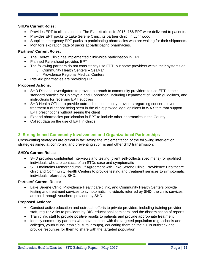#### **SHD's Current Roles:**

- Provides EPT to clients seen at The Everett clinic: In 2016, 156 EPT were delivered to patients.
- Provides EPT packs to Lake Serene Clinic, its partner clinic, in Lynnwood
- Supplies emergency EPT packs to participating pharmacies who are waiting for their shipments.
- Monitors expiration date of packs at participating pharmacies.

#### **Partners' Current Roles:**

- The Everett Clinic has implemented clinic-wide participation in EPT.
- Planned Parenthood provides EPT
- The following partners do not consistently use EPT, but some providers within their systems do:
	- o Community Health Centers SeaMar
	- o Providence Regional Medical Centers
- Rite Aid pharmacies are providing EPT.

#### **Proposed Actions:**

- SHD Disease investigators to provide outreach to community providers to use EPT in their standard practice for Chlamydia and Gonorrhea, including Department of Health guidelines, and instructions for receiving EPT supplies
- SHD Health Officer to provide outreach to community providers regarding concerns over treatment a client not being seen in the clinic; provide legal opinions in WA State that support EPT prescriptions without seeing the client
- Expand pharmacies participation in EPT to include other pharmacies in the County.
- Collect data on the use of EPT in clinics.

#### <span id="page-10-0"></span>**2. Strengthened Community Involvement and Organizational Partnerships**

Cross-cutting strategies are critical in facilitating the implementation of the following intervention strategies aimed at controlling and preventing syphilis and other STD transmission:

#### **SHD's Current Roles:**

- SHD provides confidential interviews and testing (client self-collects specimens) for qualified individuals who are contacts of an STDs case and symptomatic
- SHD maintains Memorandums Of Agreement with Lake Serene Clinic, Providence Healthcare clinic and Community Health Centers to provide testing and treatment services to symptomatic individuals referred by SHD.

#### **Partners' Current Roles:**

 Lake Serene Clinic, Providence Healthcare clinic, and Community Health Centers provide testing and treatment services to symptomatic individuals referred by SHD; the clinic services are paid through vouchers provided by SHD.

#### **Proposed Actions:**

- Conduct active education and outreach efforts to private providers including training provider staff, regular visits to providers by DIS, educational seminars, and the dissemination of reports
- Train clinic staff to provide positive results to patients and provide appropriate treatment
- Identify community partners who have contact with the targeted population (e.g. schools and colleges, youth clubs, ethnic/cultural groups), educating them on the STDs outbreak and provide resources for them to share with the targeted population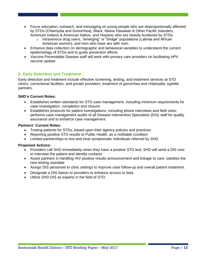- Focus education, outreach, and messaging on young people who are disproportionally affected by STDs (Chlamydia and Gonorrhea), Black, Native Hawaiian & Other Pacific Islanders, American Indians & American Native, and Hispanic who are heavily burdened by STDs.
	- $\circ$  Intravenous drug users, "emerging" or "bridge" populations (Latinas and African American women), and men who have sex with men.
- Enhance data collection on demographic and behavioral variables to understand the current epidemiology of STDs and to guide prevention efforts
- Vaccine Preventable Disease staff will work with primary care providers on facilitating HPV vaccine update.

#### <span id="page-11-0"></span>**3. Early Detection and Treatment**

Early detection and treatment include effective screening, testing, and treatment services at STD clinics, correctional facilities, and private providers; treatment of gonorrhea and chlamydia; syphilis partners.

#### **SHD's Current Roles:**

- Establishes written standards for STD case management, including minimum requirements for case investigation, completion and closure
- Establishes protocols for patient investigations, including phone interviews and field visits; performs case management audits of all Disease Intervention Specialists (DIS) staff for quality assurance and to enhance case management.

#### **Partners' Current Roles:**

- Testing patients for STDs, based upon their agency policies and practices
- Reporting positive STD results to Public Health, as a notifiable condition
- Limited partnerships to test and treat symptomatic individuals referred by SHD.

#### **Proposed Actions:**

- Providers call SHD immediately when they have a positive STD test; SHD will send a DIS over to interview the patient and identify contacts
- Assist partners in handling HIV positive results announcement and linkage to care; satisfies the new testing mandate
- Assign DIS personnel to clinic settings to improve case follow-up and overall patient treatment.
- Designate a DIS liaison to providers to enhance access to data
- Utilize SHD DIS as experts in the field of STD.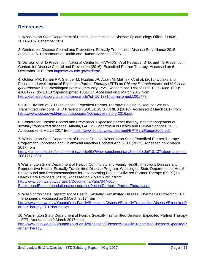## <span id="page-12-0"></span>**References**

1. Washington State Department of Health, Communicable Disease Epidemiology Office. PHIMS, 2011-2016. December 2016.

2. Centers for Disease Control and Prevention. Sexually Transmitted Disease Surveillance 2015. Atlanta: U.S. Department of Health and Human Services; 2016.

3. Division of STD Prevention, National Center for HIV/AIDS, Viral Hepatitis, STD, and TB Prevention, Centers for Disease Control and Prevention (2016). Expedited Partner Therapy. Accessed on 6 December 2016 from [https://www.cdc.gov/std/ept/.](https://www.cdc.gov/std/ept/)

4. Golden MR, Kerani RP, Stenger M, Hughes JP, Aubin M, Malinski C, et al. (2015) Uptake and Population-Level Impact of Expedited Partner Therapy (EPT) on *Chlamydia trachomatis* and *Neisseria gonorrhoeae*: The Washington State Community-Level Randomized Trial of EPT. PLoS Med 12(1): e1001777. doi:10.1371/journal.pmed.1001777. Accessed on 2 March 2017 from [http://journals.plos.org/plosmedicine/article?id=10.1371/journal.pmed.1001777.](http://journals.plos.org/plosmedicine/article?id=10.1371/journal.pmed.1001777)

5. CDC Division of STD Prevention. Expedited Partner Therapy: Helping to Reduce Sexually Transmitted Infections. STD Prevention SUCCESS STORIES (2016). Accessed 2 March 2017 from [https://www.cdc.gov/std/products/success/ept-success-story-2016.pdf.](https://www.cdc.gov/std/products/success/ept-success-story-2016.pdf)

6. Centers for Disease Control and Prevention. Expedited partner therapy in the management of sexually transmitted diseases. Atlanta, GA: US Department of Health and Human Services, 2006. Accessed on 2 March 2017 from [https://www.cdc.gov/std/treatment/EPTFinalReport2006.pdf.](https://www.cdc.gov/std/treatment/EPTFinalReport2006.pdf)

7. Washington State Department of Health. Protocol Washington State Expedited Partner Therapy Program for Gonorrhea and Chlamydial Infection Updated April 2011 (2011). Accessed on 2 March 2017 from

[http://journals.plos.org/plosmedicine/article/file?type=supplementary&id=info:doi/10.1371/journal.pmed.](http://journals.plos.org/plosmedicine/article/file?type=supplementary&id=info:doi/10.1371/journal.pmed.1001777.s001) [1001777.s001.](http://journals.plos.org/plosmedicine/article/file?type=supplementary&id=info:doi/10.1371/journal.pmed.1001777.s001)

8 Washington State Department of Health, Community and Family Health, Infectious Disease and Reproductive Health, Sexually Transmitted Disease Program. Washington State Department of Health Background and Recommendations for Incorporating Patient Delivered Partner Therapy (PDPT) by Health Care Providers (2010). Accessed on 2 March 2017 from [http://www.doh.wa.gov/portals/1/Documents/Pubs/347-600-](http://www.doh.wa.gov/portals/1/Documents/Pubs/347-600-BackgroundRecommendationsIncorporatingPatientDeliveredPartnerTherapy.pdf) [BackgroundRecommendationsIncorporatingPatientDeliveredPartnerTherapy.pdf.](http://www.doh.wa.gov/portals/1/Documents/Pubs/347-600-BackgroundRecommendationsIncorporatingPatientDeliveredPartnerTherapy.pdf)

9. Washington State Department of Health, Sexually Transmitted Disease. Pharmacies Providing EPT – Snohomish. Accessed on 2 March 2017 from [http://www.doh.wa.gov/YouandYourFamily/IllnessandDisease/SexuallyTransmittedDisease/ExpeditedP](http://www.doh.wa.gov/YouandYourFamily/IllnessandDisease/SexuallyTransmittedDisease/ExpeditedPartnerTherapy/EPTPharmacies) [artnerTherapy/EPTPharmacies.](http://www.doh.wa.gov/YouandYourFamily/IllnessandDisease/SexuallyTransmittedDisease/ExpeditedPartnerTherapy/EPTPharmacies)

10. Washington State Department of Health, Sexually Transmitted Disease. Expedited Partner Therapy – EPT. Accessed on 2 March 2017 from [http://www.doh.wa.gov/YouandYourFamily/IllnessandDisease/SexuallyTransmittedDisease/ExpeditedP](http://www.doh.wa.gov/YouandYourFamily/IllnessandDisease/SexuallyTransmittedDisease/ExpeditedPartnerTherapy) [artnerTherapy.](http://www.doh.wa.gov/YouandYourFamily/IllnessandDisease/SexuallyTransmittedDisease/ExpeditedPartnerTherapy)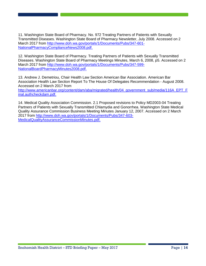11. Washington State Board of Pharmacy. No. 972 Treating Partners of Patients with Sexually Transmitted Diseases. Washington State Board of Pharmacy Newsletter, July 2008. Accessed on 2 March 2017 from [http://www.doh.wa.gov/portals/1/Documents/Pubs/347-601-](http://www.doh.wa.gov/portals/1/Documents/Pubs/347-601-NationalPharmacyComplianceNews2008.pdf) [NationalPharmacyComplianceNews2008.pdf.](http://www.doh.wa.gov/portals/1/Documents/Pubs/347-601-NationalPharmacyComplianceNews2008.pdf)

12. Washington State Board of Pharmacy. Treating Partners of Patients with Sexually Transmitted Diseases. Washington State Board of Pharmacy Meetings Minutes, March 6, 2008, p5. Accessed on 2 March 2017 from [http://www.doh.wa.gov/portals/1/Documents/Pubs/347-599-](http://www.doh.wa.gov/portals/1/Documents/Pubs/347-599-NationalBoardPharmacyMinutes2008.pdf) [NationalBoardPharmacyMinutes2008.pdf.](http://www.doh.wa.gov/portals/1/Documents/Pubs/347-599-NationalBoardPharmacyMinutes2008.pdf)

13. Andrew J. Demetriou, Chair Health Law Section American Bar Association. American Bar Association Health Law Section Report To The House Of Delegates Recommendation - August 2008. Accessed on 2 March 2017 from [http://www.americanbar.org/content/dam/aba/migrated/health/04\\_government\\_sub/media/116A\\_EPT\\_F](http://www.americanbar.org/content/dam/aba/migrated/health/04_government_sub/media/116A_EPT_Final.authcheckdam.pdf) [inal.authcheckdam.pdf.](http://www.americanbar.org/content/dam/aba/migrated/health/04_government_sub/media/116A_EPT_Final.authcheckdam.pdf)

14. Medical Quality Association Commission. 2.1 Proposed revisions to Policy MD2003-04 Treating Partners of Patients with Sexually Transmitted Chlamydia and Gonorrhea. Washington State Medical Quality Assurance Commission Business Meeting Minutes January 12, 2007. Accessed on 2 March 2017 from [http://www.doh.wa.gov/portals/1/Documents/Pubs/347-603-](http://www.doh.wa.gov/portals/1/Documents/Pubs/347-603-MedicalQualityAssuranceCommissionMinutes.pdf) [MedicalQualityAssuranceCommissionMinutes.pdf.](http://www.doh.wa.gov/portals/1/Documents/Pubs/347-603-MedicalQualityAssuranceCommissionMinutes.pdf)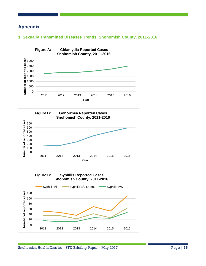## <span id="page-14-0"></span>**Appendix**

## <span id="page-14-1"></span>**1. Sexually Transmitted Diseases Trends, Snohomish County, 2011-2016**





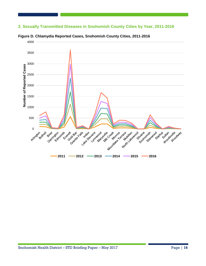## <span id="page-15-0"></span>**2. Sexually Transmitted Diseases in Snohomish County Cities by Year, 2011-2016**



**Figure D. Chlamydia Reported Cases, Snohomish County Cities, 2011-2016**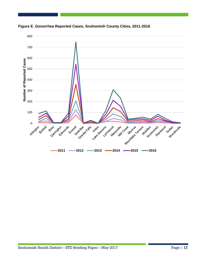

**Figure E. Gonorrhea Reported Cases, Snohomish County Cities, 2011-2016**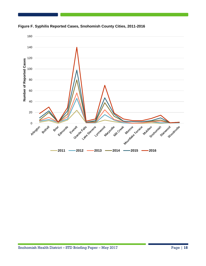

**Figure F. Syphilis Reported Cases, Snohomish County Cities, 2011-2016**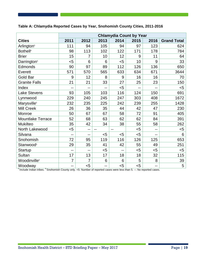## **Table A: Chlamydia Reported Cases by Year, Snohomish County Cities, 2011-2016**

|                             | <b>Chlamydia Count by Year</b> |      |                |      |                |                |                    |
|-----------------------------|--------------------------------|------|----------------|------|----------------|----------------|--------------------|
| <b>Cities</b>               | 2011                           | 2012 | 2013           | 2014 | 2015           | 2016           | <b>Grand Total</b> |
| Arlington <sup>5</sup>      | 111                            | 94   | 105            | 94   | 97             | 123            | 624                |
| <b>Bothell</b> <sup>6</sup> | 98                             | 113  | 102            | 122  | 171            | 178            | 784                |
| <b>Brier</b>                | 15                             | 7    | 10             | 12   | 9              | 11             | 64                 |
| Darrington <sup>5</sup>     | $5$                            | 6    | 6              | $5$  | 10             | 9              | 33                 |
| Edmonds                     | 90                             | 97   | 89             | 112  | 126            | 136            | 650                |
| Everett                     | 571                            | 570  | 565            | 633  | 634            | 671            | 3644               |
| <b>Gold Bar</b>             | 9                              | 12   | 8              | 9    | 16             | 16             | 70                 |
| <b>Granite Falls</b>        | 21                             | 21   | 33             | 27   | 25             | 23             | 150                |
| Index                       | --                             | --   | --             | $5$  | $\overline{a}$ | --             | $5$                |
| <b>Lake Stevens</b>         | 93                             | 105  | 103            | 116  | 124            | 150            | 691                |
| Lynnwood                    | 229                            | 240  | 245            | 247  | 303            | 408            | 1672               |
| Marysville <sup>5</sup>     | 232                            | 235  | 225            | 242  | 239            | 255            | 1428               |
| <b>Mill Creek</b>           | 26                             | 36   | 35             | 44   | 42             | 47             | 230                |
| Monroe                      | 50                             | 67   | 67             | 58   | 72             | 91             | 405                |
| <b>Mountlake Terrace</b>    | 52                             | 68   | 63             | 62   | 62             | 84             | 391                |
| <b>Mukilteo</b>             | 35                             | 42   | 34             | 38   | 55             | 58             | 262                |
| North Lakewood              | $<$ 5                          | --   | $\overline{a}$ | $-$  | $5$            | $-$            | $<$ 5              |
| Silvana                     | --                             | $-$  | $5$            | $5$  | $5$            | $\overline{a}$ | 6                  |
| Snohomish                   | 72                             | 95   | 119            | 116  | 126            | 125            | 653                |
| Stanwood <sup>5</sup>       | 29                             | 35   | 41             | 42   | 55             | 49             | 251                |
| <b>Startup</b>              | --                             | --   | $5$            | --   | $5$            | $5$            | $<$ 5              |
| Sultan                      | 17                             | 13   | 17             | 18   | 18             | 32             | 115                |
| Woodinville <sup>6</sup>    | $\overline{7}$                 | 7    | 6              | 6    | 5              | 8              | 39                 |
| Woodway                     | $-$                            | $5$  | $-$            | $5$  | $5$            | $\overline{a}$ | 5                  |

<sup>5</sup> Include Indian tribes. <sup>6</sup> Snohomish County only. <5: Number of reported cases were less than 5. --: No reported cases.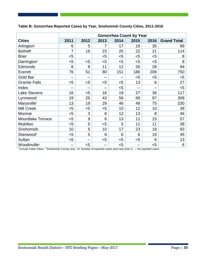#### **Table B: Gonorrhea Reported Cases by Year, Snohomish County Cities, 2011-2016**

|                             | <b>Gonorrhea Count by Year</b> |       |       |       |      |      |                    |
|-----------------------------|--------------------------------|-------|-------|-------|------|------|--------------------|
| <b>Cities</b>               | 2011                           | 2012  | 2013  | 2014  | 2015 | 2016 | <b>Grand Total</b> |
| Arlington <sup>5</sup>      | 6                              | 5     | 7     | 17    | 19   | 35   | 89                 |
| <b>Bothell</b> <sup>6</sup> | 7                              | 16    | 23    | 25    | 22   | 21   | 114                |
| <b>Brier</b>                | $5$                            |       | $<$ 5 | $5$   | $5$  | $5$  | 8                  |
| Darrington <sup>5</sup>     | $5$                            | $5$   | $<$ 5 | $5$   | $5$  | $5$  | 8                  |
| Edmonds                     | 8                              | 9     | 11    | 12    | 26   | 28   | 94                 |
| Everett                     | 76                             | 51    | 80    | 151   | 186  | 206  | 750                |
| <b>Gold Bar</b>             | $-$                            | $- -$ | --    | $-$   | $5$  | $5$  | $5$                |
| <b>Granite Falls</b>        | $<$ 5                          | $5$   | $<$ 5 | $<$ 5 | 13   | 6    | 27                 |
| Index                       | --                             | $-$   | --    | $5$   | $-$  | --   | $5$                |
| <b>Lake Stevens</b>         | 16                             | $5$   | 16    | 19    | 27   | 36   | 117                |
| Lynnwood                    | 19                             | 25    | 43    | 56    | 69   | 97   | 309                |
| Marysville <sup>5</sup>     | 13                             | 19    | 29    | 46    | 48   | 75   | 230                |
| <b>Mill Creek</b>           | $5$                            | $5$   | $<$ 5 | 10    | 12   | 10   | 39                 |
| Monroe                      | $5$                            | 3     | 8     | 12    | 13   | 8    | 46                 |
| <b>Mountlake Terrace</b>    | $5$                            | 9     | 6     | 13    | 11   | 15   | 57                 |
| <b>Mukilteo</b>             | $5$                            | 5     | $5$   | 5     | 11   | 11   | 38                 |
| Snohomish                   | 10                             | 5     | 10    | 17    | 23   | 18   | 83                 |
| Stanwood <sup>5</sup>       | $5$                            | 5     | 8     | 6     | 6    | 16   | 45                 |
| Sultan                      | $5$                            | --    | $<$ 5 | $<$ 5 | $5$  | 6    | 13                 |
| Woodinville <sup>6</sup>    | $-$                            | $5$   | --    | $<$ 5 | --   | $5$  | 6                  |

<sup>5</sup> Include Indian tribes. <sup>6</sup> Snohomish County only. <5: Number of reported cases were less than 5. --: No reported cases.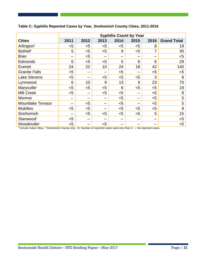|                             | <b>Syphilis Count by Year</b> |       |       |                          |      |       |                    |
|-----------------------------|-------------------------------|-------|-------|--------------------------|------|-------|--------------------|
| <b>Cities</b>               | 2011                          | 2012  | 2013  | 2014                     | 2015 | 2016  | <b>Grand Total</b> |
| Arlington <sup>5</sup>      | <5                            | $5$   | $<$ 5 | $<$ 5                    | $5$  | 8     | 18                 |
| <b>Bothell</b> <sup>6</sup> | 5                             | $5$   | $<$ 5 | 9                        | $5$  | 7     | 30                 |
| <b>Brier</b>                | --                            | $5$   | --    | $\overline{\phantom{m}}$ | --   | $- -$ | $5$                |
| <b>Edmonds</b>              | 6                             | $5$   | $<$ 5 | 5                        | 6    | 6     | 29                 |
| Everett                     | 24                            | 22    | 10    | 24                       | 18   | 42    | 140                |
| <b>Granite Falls</b>        | $<$ 5                         | --    | --    | $5$                      | --   | $<$ 5 | $5$                |
| <b>Lake Stevens</b>         | $<$ 5                         | --    | $<$ 5 | $5$                      | $5$  | 3     | 8                  |
| Lynnwood                    | 6                             | 10    | 9     | 13                       | 9    | 23    | 70                 |
| Marysville <sup>5</sup>     | $5$                           | $5$   | $<$ 5 | 6                        | $5$  | $<$ 5 | 19                 |
| <b>Mill Creek</b>           | $5$                           | $- -$ | $5$   | $5$                      | --   | $5$   | 8                  |
| Monroe                      | --                            | $- -$ | --    | $5$                      | --   | $<$ 5 | 5                  |
| Mountlake Terrace           | --                            | $5$   | --    | $5$                      | --   | $<$ 5 | 5                  |
| <b>Mukilteo</b>             | $<$ 5                         | $5$   | --    | $5$                      | $5$  | $<$ 5 | 9                  |
| Snohomish                   | --                            | $5$   | $<$ 5 | $5$                      | $5$  | 5     | 15                 |
| Stanwood <sup>5</sup>       | $<$ 5                         | $- -$ | --    | $- -$                    | --   | --    | $5$                |
| Woodinville <sup>6</sup>    | <5                            | --    | $<$ 5 | $- -$                    | --   | --    | $5$                |

## **Table C: Syphilis Reported Cases by Year, Snohomish County Cities, 2011-2016**

<sup>5</sup> Include Indian tribes. <sup>6</sup> Snohomish County only. <5: Number of reported cases were less than 5. --: No reported cases.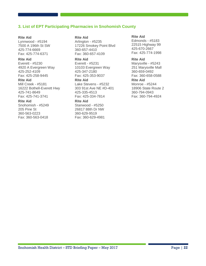#### <span id="page-21-0"></span>**3. List of EPT Participating Pharmacies in Snohomish County**

#### **Rite Aid**

Lynnwood - #5194 7500 A 196th St SW 425-774-6669 Fax: 425-774-6371

#### **Rite Aid**

Everett - #5230 4920 A Evergreen Way 425-252-4109 Fax: 425-258-9445

#### **Rite Aid**

Mill Creek - #5181 16222 Bothell-Everett Hwy 425-741-8649 Fax: 425-741-3741

#### **Rite Aid**

Snohomish - #5249 205 Pine St 360-563-0223 Fax: 360-563-0418

#### **Rite Aid**

Arlington - #5235 17226 Smokey Point Blvd 360-657-4410 Fax: 360-657-4109

#### **Rite Aid**

Everett - #5231 10103 Evergreen Way 425-347-2180 Fax: 425-353-9037

## **Rite Aid**

Lake Stevens - #5232 303 91st Ave NE #D-401 425-335-4513 Fax: 425-334-7814

#### **Rite Aid**

Stanwood - #5250 26817 88th Dr NW 360-629-9519 Fax: 360-629-4981

#### **Rite Aid**

Edmonds - #5183 22515 Highway 99 425-670-2667 Fax: 425-774-1998

#### **Rite Aid**

Marysville - #5243 251 Marysville Mall 360-659-0492 Fax: 360-658-0588 **Rite Aid** Monroe - #5244 18906 State Route 2 360-794-0943 Fax: 360-794-4924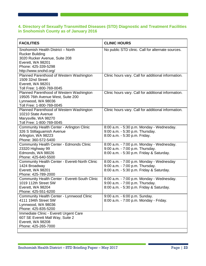## <span id="page-22-0"></span>**4. Directory of Sexually Transmitted Diseases (STD) Diagnostic and Treatment Facilities in Snohomish County as of January 2016**

| <b>FACILITIES</b>                                                                                                                                                 | <b>CLINIC HOURS</b>                                                                                                      |
|-------------------------------------------------------------------------------------------------------------------------------------------------------------------|--------------------------------------------------------------------------------------------------------------------------|
| Snohomish Health District - North<br><b>Rucker Building</b><br>3020 Rucker Avenue, Suite 208<br>Everett, WA 98201<br>Phone: 425-339-5298<br>http://www.snohd.org/ | No public STD clinic. Call for alternate sources.                                                                        |
| Planned Parenthood of Western Washington<br>1509 32nd Street<br>Everett, WA 98201<br>Toll Free: 1-800-769-0045                                                    | Clinic hours vary. Call for additional information.                                                                      |
| Planned Parenthood of Western Washington<br>19505 76th Avenue West, Suite 200<br>Lynnwood, WA 98036<br>Toll Free: 1-800-769-0045                                  | Clinic hours vary. Call for additional information.                                                                      |
| Planned Parenthood of Western Washington<br>10210 State Avenue<br>Marysville, WA 98270<br>Toll Free: 1-800-769-0045                                               | Clinic hours vary. Call for additional information.                                                                      |
| Community Health Center - Arlington Clinic<br>326 S Stillaguamish Avenue<br>Arlington, WA 98223<br>Phone: 360-572-5400                                            | 8:00 a.m. - 5:30 p.m. Monday - Wednesday.<br>9:00 a.m. - 5:30 p.m. Thursday.<br>8:00 a.m. - 5:30 p.m. Friday.            |
| <b>Community Health Center - Edmonds Clinic</b><br>23320 Highway 99<br>Edmonds, WA 98026<br>Phone: 425-640-5500                                                   | 8:00 a.m. - 7:00 p.m. Monday - Wednesday.<br>9:00 a.m. - 7:00 p.m. Thursday.<br>8:00 a.m. - 5:30 p.m. Friday & Saturday. |
| Community Health Center - Everett-North Clinic<br>1424 Broadway<br>Everett, WA 98201<br>Phone: 425-789-2000                                                       | 8:00 a.m. - 7:00 p.m. Monday - Wednesday<br>9:00 a.m. - 7:00 p.m. Thursday.<br>8:00 a.m. - 5:30 p.m. Friday & Saturday.  |
| <b>Community Health Center - Everett-South Clinic</b><br>1019 112th Street SW<br>Everett, WA 98204<br>Phone: 425-551-6200                                         | 8:00 a.m. - 7:00 p.m. Monday - Wednesday.<br>9:00 a.m. - 7:00 p.m. Thursday.<br>8:00 a.m. - 5:30 p.m. Friday & Saturday. |
| Community Health Center - Lynnwood Clinic<br>4111 194th Street SW<br>Lynnwood, WA 98036<br>Phone: 425-835-5200                                                    | 9:00 a.m. - 6:00 p.m. Sunday.<br>8:00 a.m. - 7:00 p.m. Monday - Friday.                                                  |
| Immediate Clinic - Everett Urgent Care<br>607 SE Everett Mall Way, Suite 2<br>Everett, WA 98208<br>Phone: 425-265-7000                                            |                                                                                                                          |